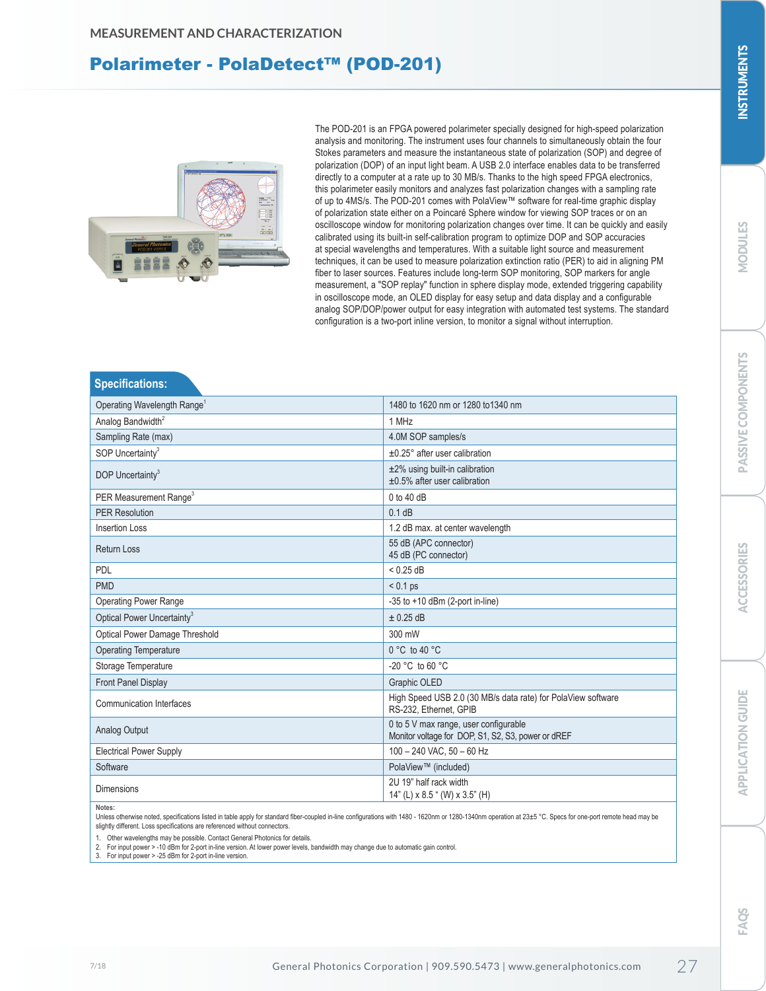# Polarimeter - PolaDetect™ (POD-201)



**Specifications:**

The POD-201 is an FPGA powered polarimeter specially designed for high-speed polarization analysis and monitoring. The instrument uses four channels to simultaneously obtain the four Stokes parameters and measure the instantaneous state of polarization (SOP) and degree of polarization (DOP) of an input light beam. A USB 2.0 interface enables data to be transferred directly to a computer at a rate up to 30 MB/s. Thanks to the high speed FPGA electronics, this polarimeter easily monitors and analyzes fast polarization changes with a sampling rate of up to 4MS/s. The POD-201 comes with PolaView™ software for real-time graphic display of polarization state either on a Poincaré Sphere window for viewing SOP traces or on an oscilloscope window for monitoring polarization changes over time. It can be quickly and easily calibrated using its built-in self-calibration program to optimize DOP and SOP accuracies at special wavelengths and temperatures. With a suitable light source and measurement techniques, it can be used to measure polarization extinction ratio (PER) to aid in aligning PM fiber to laser sources. Features include long-term SOP monitoring, SOP markers for angle measurement, a "SOP replay" function in sphere display mode, extended triggering capability in oscilloscope mode, an OLED display for easy setup and data display and a configurable analog SOP/DOP/power output for easy integration with automated test systems. The standard configuration is a two-port inline version, to monitor a signal without interruption.

| ________________                        |                                                                                             |
|-----------------------------------------|---------------------------------------------------------------------------------------------|
| Operating Wavelength Range <sup>1</sup> | 1480 to 1620 nm or 1280 to 1340 nm                                                          |
| Analog Bandwidth <sup>2</sup>           | 1 MHz                                                                                       |
| Sampling Rate (max)                     | 4.0M SOP samples/s                                                                          |
| SOP Uncertainty <sup>3</sup>            | $±0.25°$ after user calibration                                                             |
| DOP Uncertainty <sup>3</sup>            | $±2\%$ using built-in calibration<br>$\pm 0.5\%$ after user calibration                     |
| PER Measurement Range <sup>3</sup>      | $0$ to $40$ dB                                                                              |
| <b>PER Resolution</b>                   | $0.1$ dB                                                                                    |
| <b>Insertion Loss</b>                   | 1.2 dB max. at center wavelength                                                            |
| <b>Return Loss</b>                      | 55 dB (APC connector)<br>45 dB (PC connector)                                               |
| <b>PDL</b>                              | < 0.25 dB                                                                                   |
| <b>PMD</b>                              | $< 0.1$ ps                                                                                  |
| <b>Operating Power Range</b>            | $-35$ to $+10$ dBm (2-port in-line)                                                         |
| Optical Power Uncertainty <sup>3</sup>  | $\pm$ 0.25 dB                                                                               |
| <b>Optical Power Damage Threshold</b>   | 300 mW                                                                                      |
| <b>Operating Temperature</b>            | $0 °C$ to 40 $°C$                                                                           |
| Storage Temperature                     | $-20$ °C to 60 °C                                                                           |
| <b>Front Panel Display</b>              | Graphic OLED                                                                                |
| <b>Communication Interfaces</b>         | High Speed USB 2.0 (30 MB/s data rate) for PolaView software<br>RS-232. Ethernet. GPIB      |
| Analog Output                           | 0 to 5 V max range, user configurable<br>Monitor voltage for DOP, S1, S2, S3, power or dREF |
| <b>Electrical Power Supply</b>          | 100 - 240 VAC, 50 - 60 Hz                                                                   |
| Software                                | PolaView™ (included)                                                                        |
| <b>Dimensions</b>                       | 2U 19" half rack width<br>14" (L) $\times$ 8.5 " (W) $\times$ 3.5" (H)                      |
|                                         |                                                                                             |

**Notes:** 

Unless otherwise noted, specifications listed in table apply for standard fiber-coupled in-line configurations with 1480 - 1620nm or 1280-1340nm operation at 23±5 °C. Specs for one-port remote head may be slightly different. Loss specifications are referenced without connectors.

1. Other wavelengths may be possible. Contact General Photonics for details. 2. For input power > -10 dBm for 2-port in-line version. At lower power levels, bandwidth may change due to automatic gain control.

3. For input power > -25 dBm for 2-port in-line version.